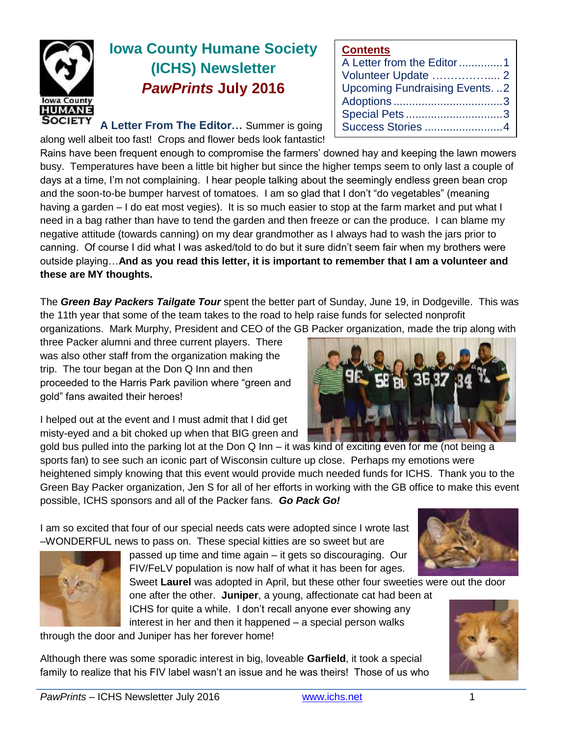

# **Iowa County Humane Society (ICHS) Newsletter** *PawPrints* **July 2016**

**A Letter From The Editor…** Summer is going along well albeit too fast! Crops and flower beds look fantastic!

Rains have been frequent enough to compromise the farmers' downed hay and keeping the lawn mowers busy. Temperatures have been a little bit higher but since the higher temps seem to only last a couple of days at a time, I'm not complaining. I hear people talking about the seemingly endless green bean crop and the soon-to-be bumper harvest of tomatoes. I am so glad that I don't "do vegetables" (meaning having a garden – I do eat most vegies). It is so much easier to stop at the farm market and put what I need in a bag rather than have to tend the garden and then freeze or can the produce. I can blame my negative attitude (towards canning) on my dear grandmother as I always had to wash the jars prior to canning. Of course I did what I was asked/told to do but it sure didn't seem fair when my brothers were outside playing…**And as you read this letter, it is important to remember that I am a volunteer and these are MY thoughts.** 

The *Green Bay Packers Tailgate Tour* spent the better part of Sunday, June 19, in Dodgeville. This was the 11th year that some of the team takes to the road to help raise funds for selected nonprofit

organizations. Mark Murphy, President and CEO of the GB Packer organization, made the trip along with

three Packer alumni and three current players. There was also other staff from the organization making the trip. The tour began at the Don Q Inn and then proceeded to the Harris Park pavilion where "green and gold" fans awaited their heroes!

I helped out at the event and I must admit that I did get misty-eyed and a bit choked up when that BIG green and

gold bus pulled into the parking lot at the Don Q Inn – it was kind of exciting even for me (not being a sports fan) to see such an iconic part of Wisconsin culture up close. Perhaps my emotions were heightened simply knowing that this event would provide much needed funds for ICHS. Thank you to the Green Bay Packer organization, Jen S for all of her efforts in working with the GB office to make this event possible, ICHS sponsors and all of the Packer fans. *Go Pack Go!*

I am so excited that four of our special needs cats were adopted since I wrote last –WONDERFUL news to pass on. These special kitties are so sweet but are



passed up time and time again – it gets so discouraging. Our FIV/FeLV population is now half of what it has been for ages.

Sweet **Laurel** was adopted in April, but these other four sweeties were out the door one after the other. **Juniper**, a young, affectionate cat had been at

ICHS for quite a while. I don't recall anyone ever showing any interest in her and then it happened – a special person walks through the door and Juniper has her forever home!

Although there was some sporadic interest in big, loveable **Garfield**, it took a special family to realize that his FIV label wasn't an issue and he was theirs! Those of us who



**Contents**

A Letter from the Editor..............1 Volunteer Update …………….... 2 Upcoming Fundraising Events. ..2 Adoptions ...................................3 Special Pets ...............................3 Success Stories .........................4

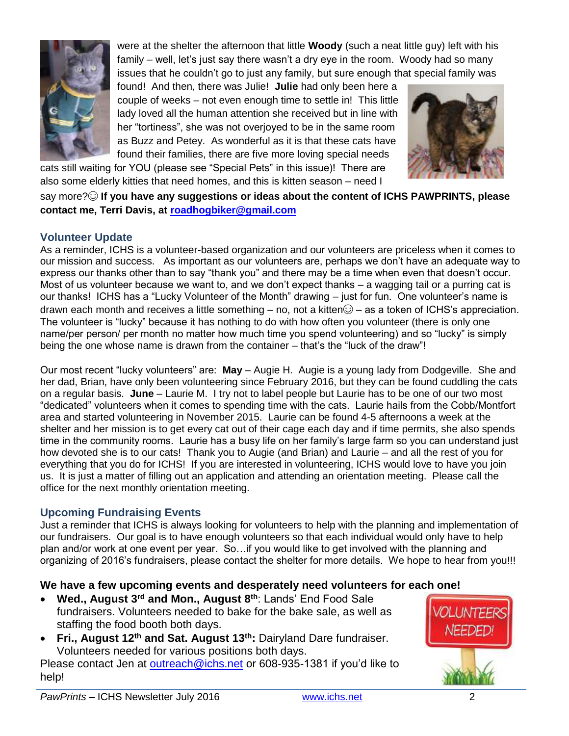

were at the shelter the afternoon that little **Woody** (such a neat little guy) left with his family – well, let's just say there wasn't a dry eye in the room. Woody had so many issues that he couldn't go to just any family, but sure enough that special family was

found! And then, there was Julie! **Julie** had only been here a couple of weeks – not even enough time to settle in! This little lady loved all the human attention she received but in line with her "tortiness", she was not overjoyed to be in the same room as Buzz and Petey. As wonderful as it is that these cats have found their families, there are five more loving special needs

cats still waiting for YOU (please see "Special Pets" in this issue)! There are also some elderly kitties that need homes, and this is kitten season – need I



say more?☺ **If you have any suggestions or ideas about the content of ICHS PAWPRINTS, please contact me, Terri Davis, at [roadhogbiker@gmail.com](mailto:roadhogbiker@gmail.com)**

# **Volunteer Update**

As a reminder, ICHS is a volunteer-based organization and our volunteers are priceless when it comes to our mission and success. As important as our volunteers are, perhaps we don't have an adequate way to express our thanks other than to say "thank you" and there may be a time when even that doesn't occur. Most of us volunteer because we want to, and we don't expect thanks – a wagging tail or a purring cat is our thanks! ICHS has a "Lucky Volunteer of the Month" drawing – just for fun. One volunteer's name is drawn each month and receives a little something – no, not a kitten $\odot$  – as a token of ICHS's appreciation. The volunteer is "lucky" because it has nothing to do with how often you volunteer (there is only one name/per person/ per month no matter how much time you spend volunteering) and so "lucky" is simply being the one whose name is drawn from the container – that's the "luck of the draw"!

Our most recent "lucky volunteers" are: **May** – Augie H. Augie is a young lady from Dodgeville. She and her dad, Brian, have only been volunteering since February 2016, but they can be found cuddling the cats on a regular basis. **June** – Laurie M. I try not to label people but Laurie has to be one of our two most "dedicated" volunteers when it comes to spending time with the cats. Laurie hails from the Cobb/Montfort area and started volunteering in November 2015. Laurie can be found 4-5 afternoons a week at the shelter and her mission is to get every cat out of their cage each day and if time permits, she also spends time in the community rooms. Laurie has a busy life on her family's large farm so you can understand just how devoted she is to our cats! Thank you to Augie (and Brian) and Laurie – and all the rest of you for everything that you do for ICHS! If you are interested in volunteering, ICHS would love to have you join us. It is just a matter of filling out an application and attending an orientation meeting. Please call the office for the next monthly orientation meeting.

## **Upcoming Fundraising Events**

Just a reminder that ICHS is always looking for volunteers to help with the planning and implementation of our fundraisers. Our goal is to have enough volunteers so that each individual would only have to help plan and/or work at one event per year. So…if you would like to get involved with the planning and organizing of 2016's fundraisers, please contact the shelter for more details. We hope to hear from you!!!

## **We have a few upcoming events and desperately need volunteers for each one!**

- **Wed., August 3rd and Mon., August 8th**: Lands' End Food Sale fundraisers. Volunteers needed to bake for the bake sale, as well as staffing the food booth both days.
- **Fri., August 12th and Sat. August 13th:** Dairyland Dare fundraiser. Volunteers needed for various positions both days.

Please contact Jen at [outreach@ichs.net](mailto:outreach@ichs.net) or 608-935-1381 if you'd like to help!

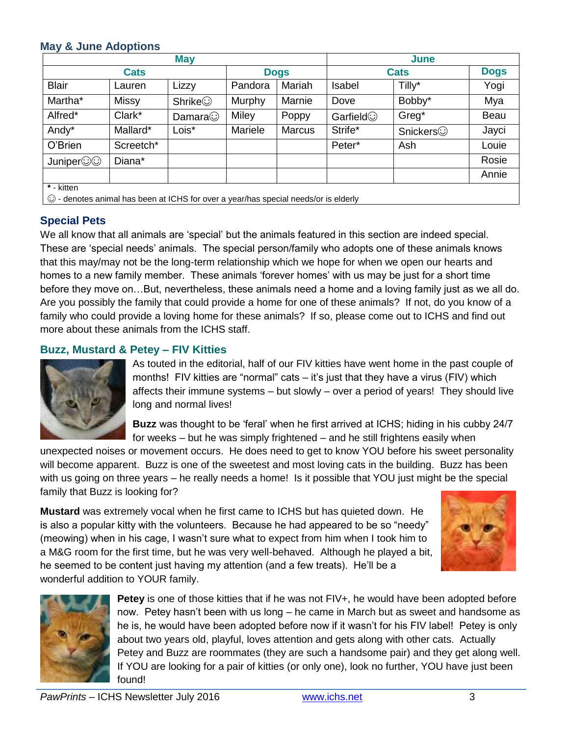### **May & June Adoptions**

| <b>May</b>                                          |              |                |             |               | June        |                 |             |
|-----------------------------------------------------|--------------|----------------|-------------|---------------|-------------|-----------------|-------------|
| <b>Cats</b>                                         |              |                | <b>Dogs</b> |               | <b>Cats</b> |                 | <b>Dogs</b> |
| <b>Blair</b>                                        | Lauren       | Lizzy          | Pandora     | Mariah        | Isabel      | Tilly*          | Yogi        |
| Martha*                                             | <b>Missy</b> | <b>Shrike</b>  | Murphy      | Marnie        | Dove        | Bobby*          | Mya         |
| Alfred*                                             | Clark*       | Damara $\odot$ | Miley       | Poppy         | Garfield    | Greg*           | Beau        |
| Andy*                                               | Mallard*     | Lois*          | Mariele     | <b>Marcus</b> | Strife*     | <b>Snickers</b> | Jayci       |
| O'Brien                                             | Screetch*    |                |             |               | Peter*      | Ash             | Louie       |
| Juniper©©                                           | Diana*       |                |             |               |             |                 | Rosie       |
|                                                     |              |                |             |               |             |                 | Annie       |
| * - kitten<br>$\sim$ $\sim$ $\sim$<br>.<br>$\cdots$ |              |                |             |               |             |                 |             |

☺ - denotes animal has been at ICHS for over a year/has special needs/or is elderly

# **Special Pets**

We all know that all animals are 'special' but the animals featured in this section are indeed special. These are 'special needs' animals. The special person/family who adopts one of these animals knows that this may/may not be the long-term relationship which we hope for when we open our hearts and homes to a new family member. These animals 'forever homes' with us may be just for a short time before they move on…But, nevertheless, these animals need a home and a loving family just as we all do. Are you possibly the family that could provide a home for one of these animals? If not, do you know of a family who could provide a loving home for these animals? If so, please come out to ICHS and find out more about these animals from the ICHS staff.

### **Buzz, Mustard & Petey – FIV Kitties**



As touted in the editorial, half of our FIV kitties have went home in the past couple of months! FIV kitties are "normal" cats – it's just that they have a virus (FIV) which affects their immune systems – but slowly – over a period of years! They should live long and normal lives!

**Buzz** was thought to be 'feral' when he first arrived at ICHS; hiding in his cubby 24/7 for weeks – but he was simply frightened – and he still frightens easily when

unexpected noises or movement occurs. He does need to get to know YOU before his sweet personality will become apparent. Buzz is one of the sweetest and most loving cats in the building. Buzz has been with us going on three years – he really needs a home! Is it possible that YOU just might be the special family that Buzz is looking for?

**Mustard** was extremely vocal when he first came to ICHS but has quieted down. He is also a popular kitty with the volunteers. Because he had appeared to be so "needy" (meowing) when in his cage, I wasn't sure what to expect from him when I took him to a M&G room for the first time, but he was very well-behaved. Although he played a bit, he seemed to be content just having my attention (and a few treats). He'll be a wonderful addition to YOUR family.





**Petey** is one of those kitties that if he was not FIV+, he would have been adopted before now. Petey hasn't been with us long – he came in March but as sweet and handsome as he is, he would have been adopted before now if it wasn't for his FIV label! Petey is only about two years old, playful, loves attention and gets along with other cats. Actually Petey and Buzz are roommates (they are such a handsome pair) and they get along well. If YOU are looking for a pair of kitties (or only one), look no further, YOU have just been found!